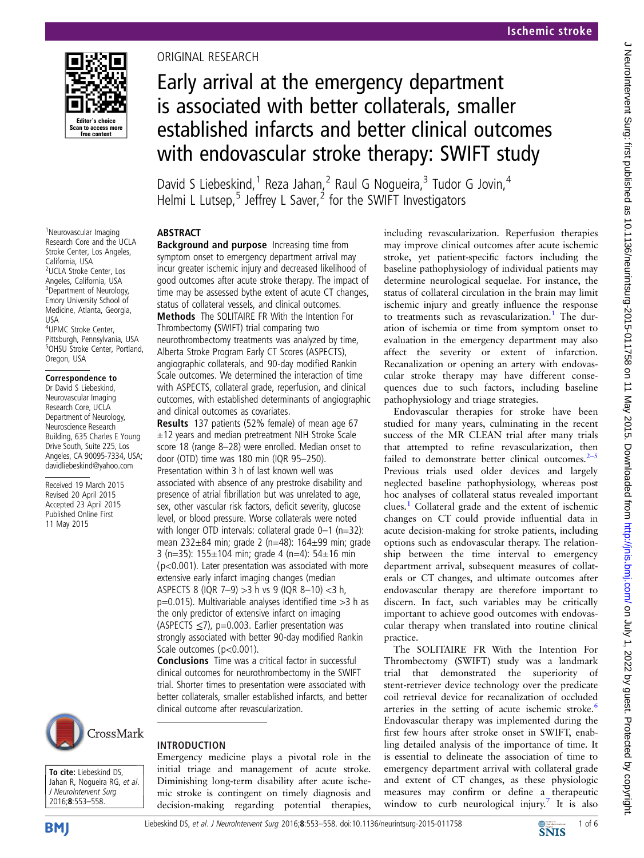

1 Neurovascular Imaging Research Core and the UCLA Stroke Center, Los Angeles, California, USA 2 UCLA Stroke Center, Los Angeles, California, USA <sup>3</sup>Department of Neurology, Emory University School of Medicine, Atlanta, Georgia, USA

4 UPMC Stroke Center, Pittsburgh, Pennsylvania, USA 5 OHSU Stroke Center, Portland, Oregon, USA

#### Correspondence to

Dr David S Liebeskind, Neurovascular Imaging Research Core, UCLA Department of Neurology, Neuroscience Research Building, 635 Charles E Young Drive South, Suite 225, Los Angeles, CA 90095-7334, USA; davidliebeskind@yahoo.com

Received 19 March 2015 Revised 20 April 2015 Accepted 23 April 2015 Published Online First 11 May 2015



To cite: Liebeskind DS, Jahan R, Nogueira RG, et al. J NeuroIntervent Surg 2016;8:553–558.

## **BMI**

# ORIGINAL RESEARCH

# Early arrival at the emergency department is associated with better collaterals, smaller established infarcts and better clinical outcomes with endovascular stroke therapy: SWIFT study

David S Liebeskind,<sup>1</sup> Reza Jahan,<sup>2</sup> Raul G Nogueira,<sup>3</sup> Tudor G Jovin,<sup>4</sup> Helmi L Lutsep,<sup>5</sup> Jeffrey L Saver,<sup>2</sup> for the SWIFT Investigators

# **ABSTRACT**

Background and purpose Increasing time from symptom onset to emergency department arrival may incur greater ischemic injury and decreased likelihood of good outcomes after acute stroke therapy. The impact of time may be assessed bythe extent of acute CT changes, status of collateral vessels, and clinical outcomes. Methods The SOLITAIRE FR With the Intention For Thrombectomy (SWIFT) trial comparing two neurothrombectomy treatments was analyzed by time, Alberta Stroke Program Early CT Scores (ASPECTS), angiographic collaterals, and 90-day modified Rankin Scale outcomes. We determined the interaction of time with ASPECTS, collateral grade, reperfusion, and clinical outcomes, with established determinants of angiographic and clinical outcomes as covariates.

Results 137 patients (52% female) of mean age 67 ±12 years and median pretreatment NIH Stroke Scale score 18 (range 8–28) were enrolled. Median onset to door (OTD) time was 180 min (IQR 95–250). Presentation within 3 h of last known well was associated with absence of any prestroke disability and presence of atrial fibrillation but was unrelated to age, sex, other vascular risk factors, deficit severity, glucose level, or blood pressure. Worse collaterals were noted with longer OTD intervals: collateral grade 0-1 (n=32): mean 232±84 min; grade 2 (n=48): 164±99 min; grade 3 (n=35):  $155 \pm 104$  min; grade 4 (n=4):  $54 \pm 16$  min (p<0.001). Later presentation was associated with more extensive early infarct imaging changes (median ASPECTS 8 (IQR 7–9) >3 h vs 9 (IQR 8–10) <3 h, p=0.015). Multivariable analyses identified time >3 h as the only predictor of extensive infarct on imaging (ASPECTS  $\leq$ 7), p=0.003. Earlier presentation was strongly associated with better 90-day modified Rankin Scale outcomes (p<0.001).

Conclusions Time was a critical factor in successful clinical outcomes for neurothrombectomy in the SWIFT trial. Shorter times to presentation were associated with better collaterals, smaller established infarcts, and better clinical outcome after revascularization.

# INTRODUCTION

Emergency medicine plays a pivotal role in the initial triage and management of acute stroke. Diminishing long-term disability after acute ischemic stroke is contingent on timely diagnosis and decision-making regarding potential therapies,

including revascularization. Reperfusion therapies may improve clinical outcomes after acute ischemic stroke, yet patient-specific factors including the baseline pathophysiology of individual patients may determine neurological sequelae. For instance, the status of collateral circulation in the brain may limit ischemic injury and greatly influence the response to treatments such as revascularization.<sup>1</sup> The duration of ischemia or time from symptom onset to evaluation in the emergency department may also affect the severity or extent of infarction. Recanalization or opening an artery with endovascular stroke therapy may have different consequences due to such factors, including baseline pathophysiology and triage strategies.

Endovascular therapies for stroke have been studied for many years, culminating in the recent success of the MR CLEAN trial after many trials that attempted to refine revascularization, then failed to demonstrate better clinical outcomes. $2-5$  $2-5$ Previous trials used older devices and largely neglected baseline pathophysiology, whereas post hoc analyses of collateral status revealed important clues[.1](#page-5-0) Collateral grade and the extent of ischemic changes on CT could provide influential data in acute decision-making for stroke patients, including options such as endovascular therapy. The relationship between the time interval to emergency department arrival, subsequent measures of collaterals or CT changes, and ultimate outcomes after endovascular therapy are therefore important to discern. In fact, such variables may be critically important to achieve good outcomes with endovascular therapy when translated into routine clinical practice.

The SOLITAIRE FR With the Intention For Thrombectomy (SWIFT) study was a landmark trial that demonstrated the superiority of stent-retriever device technology over the predicate coil retrieval device for recanalization of occluded arteries in the setting of acute ischemic stroke.<sup>[6](#page-5-0)</sup> Endovascular therapy was implemented during the first few hours after stroke onset in SWIFT, enabling detailed analysis of the importance of time. It is essential to delineate the association of time to emergency department arrival with collateral grade and extent of CT changes, as these physiologic measures may confirm or define a therapeutic window to curb neurological injury.<sup>[7](#page-5-0)</sup> It is also

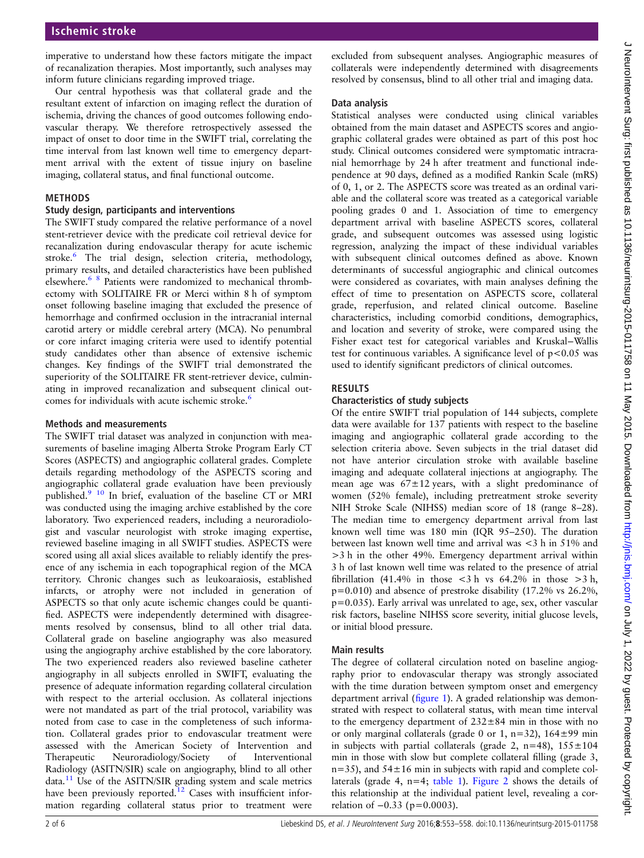imperative to understand how these factors mitigate the impact of recanalization therapies. Most importantly, such analyses may inform future clinicians regarding improved triage.

Our central hypothesis was that collateral grade and the resultant extent of infarction on imaging reflect the duration of ischemia, driving the chances of good outcomes following endovascular therapy. We therefore retrospectively assessed the impact of onset to door time in the SWIFT trial, correlating the time interval from last known well time to emergency department arrival with the extent of tissue injury on baseline imaging, collateral status, and final functional outcome.

#### METHODS

#### Study design, participants and interventions

The SWIFT study compared the relative performance of a novel stent-retriever device with the predicate coil retrieval device for recanalization during endovascular therapy for acute ischemic stroke.<sup>[6](#page-5-0)</sup> The trial design, selection criteria, methodology, primary results, and detailed characteristics have been published elsewhere[.6 8](#page-5-0) Patients were randomized to mechanical thrombectomy with SOLITAIRE FR or Merci within 8 h of symptom onset following baseline imaging that excluded the presence of hemorrhage and confirmed occlusion in the intracranial internal carotid artery or middle cerebral artery (MCA). No penumbral or core infarct imaging criteria were used to identify potential study candidates other than absence of extensive ischemic changes. Key findings of the SWIFT trial demonstrated the superiority of the SOLITAIRE FR stent-retriever device, culminating in improved recanalization and subsequent clinical outcomes for individuals with acute ischemic stroke.<sup>6</sup>

#### Methods and measurements

The SWIFT trial dataset was analyzed in conjunction with measurements of baseline imaging Alberta Stroke Program Early CT Scores (ASPECTS) and angiographic collateral grades. Complete details regarding methodology of the ASPECTS scoring and angiographic collateral grade evaluation have been previously published.<sup>9</sup> <sup>10</sup> In brief, evaluation of the baseline CT or MRI was conducted using the imaging archive established by the core laboratory. Two experienced readers, including a neuroradiologist and vascular neurologist with stroke imaging expertise, reviewed baseline imaging in all SWIFT studies. ASPECTS were scored using all axial slices available to reliably identify the presence of any ischemia in each topographical region of the MCA territory. Chronic changes such as leukoaraiosis, established infarcts, or atrophy were not included in generation of ASPECTS so that only acute ischemic changes could be quantified. ASPECTS were independently determined with disagreements resolved by consensus, blind to all other trial data. Collateral grade on baseline angiography was also measured using the angiography archive established by the core laboratory. The two experienced readers also reviewed baseline catheter angiography in all subjects enrolled in SWIFT, evaluating the presence of adequate information regarding collateral circulation with respect to the arterial occlusion. As collateral injections were not mandated as part of the trial protocol, variability was noted from case to case in the completeness of such information. Collateral grades prior to endovascular treatment were assessed with the American Society of Intervention and Therapeutic Neuroradiology/Society of Interventional Radiology (ASITN/SIR) scale on angiography, blind to all other data.<sup>[11](#page-5-0)</sup> Use of the ASITN/SIR grading system and scale metrics have been previously reported.<sup>[12](#page-5-0)</sup> Cases with insufficient information regarding collateral status prior to treatment were

excluded from subsequent analyses. Angiographic measures of collaterals were independently determined with disagreements resolved by consensus, blind to all other trial and imaging data.

#### Data analysis

Statistical analyses were conducted using clinical variables obtained from the main dataset and ASPECTS scores and angiographic collateral grades were obtained as part of this post hoc study. Clinical outcomes considered were symptomatic intracranial hemorrhage by 24 h after treatment and functional independence at 90 days, defined as a modified Rankin Scale (mRS) of 0, 1, or 2. The ASPECTS score was treated as an ordinal variable and the collateral score was treated as a categorical variable pooling grades 0 and 1. Association of time to emergency department arrival with baseline ASPECTS scores, collateral grade, and subsequent outcomes was assessed using logistic regression, analyzing the impact of these individual variables with subsequent clinical outcomes defined as above. Known determinants of successful angiographic and clinical outcomes were considered as covariates, with main analyses defining the effect of time to presentation on ASPECTS score, collateral grade, reperfusion, and related clinical outcome. Baseline characteristics, including comorbid conditions, demographics, and location and severity of stroke, were compared using the Fisher exact test for categorical variables and Kruskal−Wallis test for continuous variables. A significance level of  $p < 0.05$  was used to identify significant predictors of clinical outcomes.

#### RESULTS

## Characteristics of study subjects

Of the entire SWIFT trial population of 144 subjects, complete data were available for 137 patients with respect to the baseline imaging and angiographic collateral grade according to the selection criteria above. Seven subjects in the trial dataset did not have anterior circulation stroke with available baseline imaging and adequate collateral injections at angiography. The mean age was  $67 \pm 12$  years, with a slight predominance of women (52% female), including pretreatment stroke severity NIH Stroke Scale (NIHSS) median score of 18 (range 8–28). The median time to emergency department arrival from last known well time was 180 min (IQR 95–250). The duration between last known well time and arrival was <3 h in 51% and >3 h in the other 49%. Emergency department arrival within 3 h of last known well time was related to the presence of atrial fibrillation (41.4% in those  $\lt 3$  h vs 64.2% in those  $>3$  h, p=0.010) and absence of prestroke disability (17.2% vs 26.2%, p=0.035). Early arrival was unrelated to age, sex, other vascular risk factors, baseline NIHSS score severity, initial glucose levels, or initial blood pressure.

## Main results

The degree of collateral circulation noted on baseline angiography prior to endovascular therapy was strongly associated with the time duration between symptom onset and emergency department arrival (fi[gure 1\)](#page-2-0). A graded relationship was demonstrated with respect to collateral status, with mean time interval to the emergency department of  $232\pm84$  min in those with no or only marginal collaterals (grade 0 or 1,  $n=32$ ),  $164\pm99$  min in subjects with partial collaterals (grade 2, n=48),  $155 \pm 104$ min in those with slow but complete collateral filling (grade 3,  $n=35$ ), and  $54\pm16$  min in subjects with rapid and complete collaterals (grade 4, n=4; [table 1](#page-3-0)). [Figure 2](#page-4-0) shows the details of this relationship at the individual patient level, revealing a correlation of −0.33 (p=0.0003).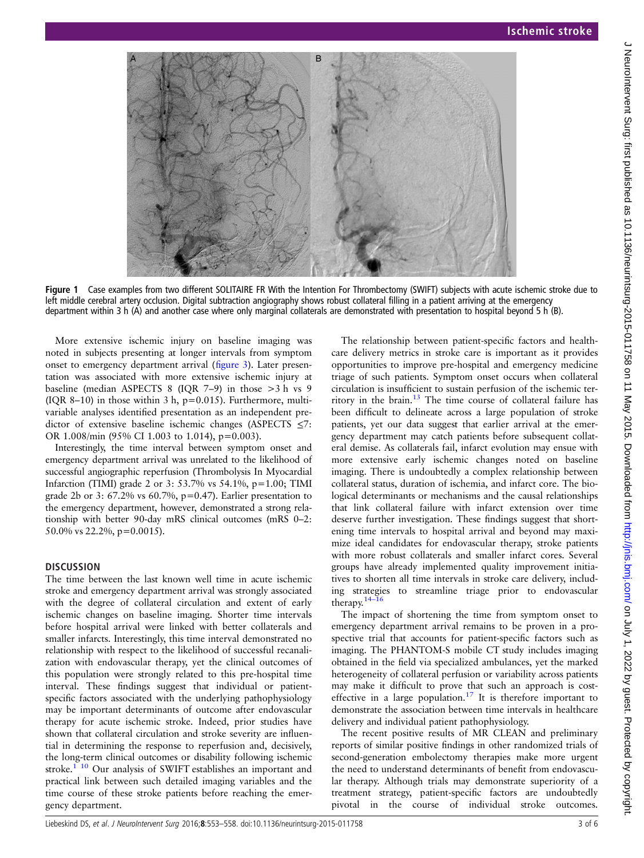<span id="page-2-0"></span>

Figure 1 Case examples from two different SOLITAIRE FR With the Intention For Thrombectomy (SWIFT) subjects with acute ischemic stroke due to left middle cerebral artery occlusion. Digital subtraction angiography shows robust collateral filling in a patient arriving at the emergency department within 3 h (A) and another case where only marginal collaterals are demonstrated with presentation to hospital beyond 5 h (B).

More extensive ischemic injury on baseline imaging was noted in subjects presenting at longer intervals from symptom onset to emergency department arrival (fi[gure 3](#page-4-0)). Later presentation was associated with more extensive ischemic injury at baseline (median ASPECTS 8 (IQR 7–9) in those >3 h vs 9 (IQR 8–10) in those within 3 h,  $p=0.015$ ). Furthermore, multivariable analyses identified presentation as an independent predictor of extensive baseline ischemic changes (ASPECTS ≤7: OR 1.008/min (95% CI 1.003 to 1.014), p=0.003).

Interestingly, the time interval between symptom onset and emergency department arrival was unrelated to the likelihood of successful angiographic reperfusion (Thrombolysis In Myocardial Infarction (TIMI) grade 2 or 3:  $53.7\%$  vs  $54.1\%$ ,  $p=1.00$ ; TIMI grade 2b or 3:  $67.2\%$  vs  $60.7\%$ ,  $p=0.47$ ). Earlier presentation to the emergency department, however, demonstrated a strong relationship with better 90-day mRS clinical outcomes (mRS 0–2: 50.0% vs 22.2%, p=0.0015).

#### **DISCUSSION**

The time between the last known well time in acute ischemic stroke and emergency department arrival was strongly associated with the degree of collateral circulation and extent of early ischemic changes on baseline imaging. Shorter time intervals before hospital arrival were linked with better collaterals and smaller infarcts. Interestingly, this time interval demonstrated no relationship with respect to the likelihood of successful recanalization with endovascular therapy, yet the clinical outcomes of this population were strongly related to this pre-hospital time interval. These findings suggest that individual or patientspecific factors associated with the underlying pathophysiology may be important determinants of outcome after endovascular therapy for acute ischemic stroke. Indeed, prior studies have shown that collateral circulation and stroke severity are influential in determining the response to reperfusion and, decisively, the long-term clinical outcomes or disability following ischemic stroke.<sup>[1 10](#page-5-0)</sup> Our analysis of SWIFT establishes an important and practical link between such detailed imaging variables and the time course of these stroke patients before reaching the emergency department.

The relationship between patient-specific factors and healthcare delivery metrics in stroke care is important as it provides opportunities to improve pre-hospital and emergency medicine triage of such patients. Symptom onset occurs when collateral circulation is insufficient to sustain perfusion of the ischemic territory in the brain.[13](#page-5-0) The time course of collateral failure has been difficult to delineate across a large population of stroke patients, yet our data suggest that earlier arrival at the emergency department may catch patients before subsequent collateral demise. As collaterals fail, infarct evolution may ensue with more extensive early ischemic changes noted on baseline imaging. There is undoubtedly a complex relationship between collateral status, duration of ischemia, and infarct core. The biological determinants or mechanisms and the causal relationships that link collateral failure with infarct extension over time deserve further investigation. These findings suggest that shortening time intervals to hospital arrival and beyond may maximize ideal candidates for endovascular therapy, stroke patients with more robust collaterals and smaller infarct cores. Several groups have already implemented quality improvement initiatives to shorten all time intervals in stroke care delivery, including strategies to streamline triage prior to endovascular therapy.14–[16](#page-5-0)

The impact of shortening the time from symptom onset to emergency department arrival remains to be proven in a prospective trial that accounts for patient-specific factors such as imaging. The PHANTOM-S mobile CT study includes imaging obtained in the field via specialized ambulances, yet the marked heterogeneity of collateral perfusion or variability across patients may make it difficult to prove that such an approach is cost-effective in a large population.<sup>[17](#page-5-0)</sup> It is therefore important to demonstrate the association between time intervals in healthcare delivery and individual patient pathophysiology.

The recent positive results of MR CLEAN and preliminary reports of similar positive findings in other randomized trials of second-generation embolectomy therapies make more urgent the need to understand determinants of benefit from endovascular therapy. Although trials may demonstrate superiority of a treatment strategy, patient-specific factors are undoubtedly pivotal in the course of individual stroke outcomes.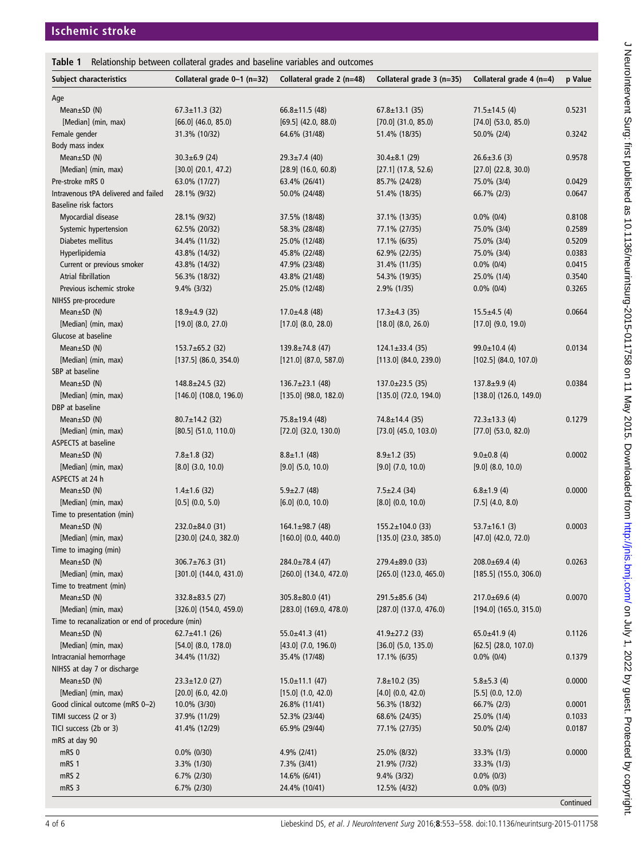<span id="page-3-0"></span>

| Table 1 Relationship between collateral grades and baseline variables and outcomes |                                      |                                         |                                        |                                         |                  |  |  |  |  |
|------------------------------------------------------------------------------------|--------------------------------------|-----------------------------------------|----------------------------------------|-----------------------------------------|------------------|--|--|--|--|
| <b>Subject characteristics</b>                                                     | Collateral grade 0-1 (n=32)          | Collateral grade 2 (n=48)               | Collateral grade 3 (n=35)              | Collateral grade 4 (n=4)                | p Value          |  |  |  |  |
| Age                                                                                |                                      |                                         |                                        |                                         |                  |  |  |  |  |
| $Mean \pm SD$ (N)                                                                  | $67.3 \pm 11.3$ (32)                 | $66.8 \pm 11.5$ (48)                    | $67.8 \pm 13.1$ (35)                   | $71.5 \pm 14.5$ (4)                     | 0.5231           |  |  |  |  |
| [Median] (min, max)                                                                | $[66.0]$ (46.0, 85.0)                | $[69.5]$ (42.0, 88.0)                   | $[70.0]$ (31.0, 85.0)                  | $[74.0]$ (53.0, 85.0)                   |                  |  |  |  |  |
| Female gender                                                                      | 31.3% (10/32)                        | 64.6% (31/48)                           | 51.4% (18/35)                          | 50.0% (2/4)                             | 0.3242           |  |  |  |  |
| Body mass index                                                                    |                                      |                                         |                                        |                                         |                  |  |  |  |  |
| $Mean \pm SD$ (N)                                                                  | $30.3 \pm 6.9$ (24)                  | $29.3 \pm 7.4$ (40)                     | $30.4 \pm 8.1$ (29)                    | $26.6 \pm 3.6$ (3)                      | 0.9578           |  |  |  |  |
| [Median] (min, max)                                                                | $[30.0]$ $(20.1, 47.2)$              | $[28.9]$ (16.0, 60.8)                   | $[27.1]$ (17.8, 52.6)                  | $[27.0]$ (22.8, 30.0)                   |                  |  |  |  |  |
| Pre-stroke mRS 0                                                                   | 63.0% (17/27)                        | 63.4% (26/41)                           | 85.7% (24/28)                          | 75.0% (3/4)                             | 0.0429           |  |  |  |  |
| Intravenous tPA delivered and failed                                               | 28.1% (9/32)                         | 50.0% (24/48)                           | 51.4% (18/35)                          | 66.7% (2/3)                             | 0.0647           |  |  |  |  |
| Baseline risk factors                                                              |                                      |                                         |                                        |                                         |                  |  |  |  |  |
| Myocardial disease                                                                 | 28.1% (9/32)                         | 37.5% (18/48)                           | 37.1% (13/35)                          | $0.0\%$ (0/4)                           | 0.8108           |  |  |  |  |
| Systemic hypertension                                                              | 62.5% (20/32)                        | 58.3% (28/48)                           | 77.1% (27/35)                          | 75.0% (3/4)                             | 0.2589           |  |  |  |  |
| Diabetes mellitus                                                                  | 34.4% (11/32)                        | 25.0% (12/48)                           | 17.1% (6/35)                           | 75.0% (3/4)                             | 0.5209           |  |  |  |  |
| Hyperlipidemia                                                                     | 43.8% (14/32)                        | 45.8% (22/48)                           | 62.9% (22/35)                          | 75.0% (3/4)                             | 0.0383           |  |  |  |  |
| Current or previous smoker                                                         | 43.8% (14/32)                        | 47.9% (23/48)                           | 31.4% (11/35)                          | $0.0\%$ (0/4)                           | 0.0415           |  |  |  |  |
| <b>Atrial fibrillation</b>                                                         | 56.3% (18/32)                        | 43.8% (21/48)                           | 54.3% (19/35)                          | 25.0% (1/4)                             | 0.3540           |  |  |  |  |
| Previous ischemic stroke                                                           | $9.4\%$ (3/32)                       | 25.0% (12/48)                           | 2.9% (1/35)                            | $0.0\%$ (0/4)                           | 0.3265           |  |  |  |  |
| NIHSS pre-procedure                                                                |                                      |                                         |                                        |                                         |                  |  |  |  |  |
| Mean $\pm$ SD (N)                                                                  | $18.9 \pm 4.9$ (32)                  | $17.0 \pm 4.8$ (48)                     | $17.3 \pm 4.3$ (35)                    | $15.5 \pm 4.5$ (4)                      | 0.0664           |  |  |  |  |
| [Median] (min, max)                                                                | $[19.0]$ (8.0, 27.0)                 | $[17.0]$ (8.0, 28.0)                    | $[18.0]$ (8.0, 26.0)                   | $[17.0]$ (9.0, 19.0)                    |                  |  |  |  |  |
| Glucose at baseline                                                                |                                      |                                         |                                        |                                         |                  |  |  |  |  |
| Mean $\pm$ SD (N)                                                                  | $153.7\pm 65.2$ (32)                 | $139.8 \pm 74.8$ (47)                   | $124.1 \pm 33.4$ (35)                  | $99.0 \pm 10.4$ (4)                     | 0.0134           |  |  |  |  |
| [Median] (min, max)                                                                | $[137.5]$ (86.0, 354.0)              | $[121.0]$ (87.0, 587.0)                 | $[113.0]$ (84.0, 239.0)                | $[102.5]$ (84.0, 107.0)                 |                  |  |  |  |  |
| SBP at baseline                                                                    |                                      |                                         |                                        |                                         |                  |  |  |  |  |
| Mean $\pm$ SD (N)                                                                  | $148.8 \pm 24.5$ (32)                | $136.7 \pm 23.1$ (48)                   | $137.0 \pm 23.5$ (35)                  | $137.8 \pm 9.9$ (4)                     | 0.0384           |  |  |  |  |
| [Median] (min, max)                                                                | $[146.0]$ (108.0, 196.0)             | $[135.0]$ (98.0, 182.0)                 | $[135.0]$ (72.0, 194.0)                | $[138.0]$ (126.0, 149.0)                |                  |  |  |  |  |
| DBP at baseline                                                                    |                                      |                                         |                                        |                                         |                  |  |  |  |  |
| Mean $\pm$ SD (N)                                                                  | $80.7 \pm 14.2$ (32)                 | $75.8 \pm 19.4$ (48)                    | $74.8 \pm 14.4$ (35)                   | $72.3 \pm 13.3$ (4)                     | 0.1279           |  |  |  |  |
| [Median] (min, max)                                                                | $[80.5]$ (51.0, 110.0)               | $[72.0]$ (32.0, 130.0)                  | $[73.0]$ (45.0, 103.0)                 | $[77.0]$ (53.0, 82.0)                   |                  |  |  |  |  |
| <b>ASPECTS</b> at baseline                                                         |                                      |                                         |                                        |                                         |                  |  |  |  |  |
| Mean $\pm$ SD (N)                                                                  | $7.8 \pm 1.8$ (32)                   | $8.8 \pm 1.1$ (48)                      | $8.9 \pm 1.2$ (35)                     | $9.0 \pm 0.8$ (4)                       | 0.0002           |  |  |  |  |
| [Median] (min, max)                                                                | $[8.0]$ $(3.0, 10.0)$                | $[9.0]$ (5.0, 10.0)                     | $[9.0]$ (7.0, 10.0)                    | $[9.0]$ (8.0, 10.0)                     |                  |  |  |  |  |
| ASPECTS at 24 h                                                                    |                                      |                                         |                                        |                                         |                  |  |  |  |  |
| Mean $\pm$ SD (N)                                                                  | $1.4 \pm 1.6$ (32)                   | $5.9 \pm 2.7$ (48)                      | $7.5 \pm 2.4$ (34)                     | $6.8 \pm 1.9$ (4)                       | 0.0000           |  |  |  |  |
| [Median] (min, max)                                                                | $[0.5]$ $(0.0, 5.0)$                 | $[6.0]$ $(0.0, 10.0)$                   | $[8.0]$ (0.0, 10.0)                    | $[7.5]$ (4.0, 8.0)                      |                  |  |  |  |  |
| Time to presentation (min)                                                         |                                      |                                         |                                        |                                         |                  |  |  |  |  |
| $Mean \pm SD$ (N)                                                                  | $232.0 \pm 84.0$ (31)                | $164.1 \pm 98.7$ (48)                   | $155.2 \pm 104.0$ (33)                 | $53.7 \pm 16.1$ (3)                     | 0.0003           |  |  |  |  |
| [Median] (min, max)                                                                | $[230.0]$ (24.0, 382.0)              | $[160.0]$ (0.0, 440.0)                  | $[135.0]$ (23.0, 385.0)                | $[47.0]$ $(42.0, 72.0)$                 |                  |  |  |  |  |
| Time to imaging (min)                                                              |                                      |                                         |                                        |                                         |                  |  |  |  |  |
| $Mean \pm SD$ (N)                                                                  | $306.7 \pm 76.3$ (31)                | $284.0 \pm 78.4$ (47)                   | $279.4 \pm 89.0$ (33)                  | $208.0 \pm 69.4$ (4)                    | 0.0263           |  |  |  |  |
| [Median] (min, max)                                                                | $[301.0]$ (144.0, 431.0)             | $[260.0]$ (134.0, 472.0)                | $[265.0]$ (123.0, 465.0)               | $[185.5]$ (155.0, 306.0)                |                  |  |  |  |  |
| Time to treatment (min)                                                            |                                      |                                         |                                        |                                         |                  |  |  |  |  |
| Mean $\pm$ SD (N)<br>[Median] (min, max)                                           | $332.8 \pm 83.5$ (27)                | $305.8 \pm 80.0$ (41)                   | $291.5 \pm 85.6$ (34)                  | $217.0 \pm 69.6$ (4)                    | 0.0070           |  |  |  |  |
| Time to recanalization or end of procedure (min)                                   | $[326.0]$ (154.0, 459.0)             | $[283.0]$ (169.0, 478.0)                | $[287.0]$ (137.0, 476.0)               | $[194.0]$ (165.0, 315.0)                |                  |  |  |  |  |
|                                                                                    |                                      |                                         |                                        |                                         |                  |  |  |  |  |
| Mean $\pm$ SD (N)                                                                  | $62.7 \pm 41.1$ (26)                 | $55.0 \pm 41.3$ (41)                    | $41.9 \pm 27.2$ (33)                   | $65.0 \pm 41.9$ (4)                     | 0.1126           |  |  |  |  |
| [Median] (min, max)<br>Intracranial hemorrhage                                     | $[54.0]$ $(8.0, 178.0)$              | $[43.0]$ (7.0, 196.0)                   | $[36.0]$ (5.0, 135.0)                  | $[62.5]$ (28.0, 107.0)<br>$0.0\%$ (0/4) |                  |  |  |  |  |
|                                                                                    | 34.4% (11/32)                        | 35.4% (17/48)                           | 17.1% (6/35)                           |                                         | 0.1379           |  |  |  |  |
| NIHSS at day 7 or discharge<br>Mean $\pm$ SD (N)                                   |                                      |                                         |                                        |                                         | 0.0000           |  |  |  |  |
| [Median] (min, max)                                                                | $23.3 \pm 12.0$ (27)                 | $15.0 \pm 11.1$ (47)                    | $7.8 \pm 10.2$ (35)                    | $5.8 \pm 5.3$ (4)                       |                  |  |  |  |  |
| Good clinical outcome (mRS 0-2)                                                    | $[20.0]$ (6.0, 42.0)<br>10.0% (3/30) | $[15.0]$ $(1.0, 42.0)$<br>26.8% (11/41) | $[4.0]$ $(0.0, 42.0)$<br>56.3% (18/32) | $[5.5]$ (0.0, 12.0)<br>66.7% (2/3)      | 0.0001           |  |  |  |  |
|                                                                                    |                                      |                                         |                                        |                                         |                  |  |  |  |  |
| TIMI success (2 or 3)<br>TICI success (2b or 3)                                    | 37.9% (11/29)<br>41.4% (12/29)       | 52.3% (23/44)<br>65.9% (29/44)          | 68.6% (24/35)<br>77.1% (27/35)         | 25.0% (1/4)<br>50.0% (2/4)              | 0.1033<br>0.0187 |  |  |  |  |
| mRS at day 90                                                                      |                                      |                                         |                                        |                                         |                  |  |  |  |  |
| mRS 0                                                                              | $0.0\%$ (0/30)                       | $4.9\%$ (2/41)                          | 25.0% (8/32)                           | 33.3% (1/3)                             | 0.0000           |  |  |  |  |
| mRS 1                                                                              | $3.3\%$ (1/30)                       | $7.3\%$ (3/41)                          | 21.9% (7/32)                           | 33.3% (1/3)                             |                  |  |  |  |  |
| mRS <sub>2</sub>                                                                   | $6.7\%$ (2/30)                       | 14.6% (6/41)                            | $9.4\%$ (3/32)                         | $0.0\%$ (0/3)                           |                  |  |  |  |  |
| mRS 3                                                                              | $6.7\%$ (2/30)                       | 24.4% (10/41)                           | 12.5% (4/32)                           | $0.0\%$ (0/3)                           |                  |  |  |  |  |
|                                                                                    |                                      |                                         |                                        |                                         | Continued        |  |  |  |  |

J NeuroIntervent Surg: first published as 10.11136/neurintsurg-2015-011758 on 11 May 2015. Downloaded from http://jnis.bmj.com/ on July 1, 2022 by guest. Protected by copyright. J NeuroIntervent Surg: first published as 10.1136/neurintsurg-2015-011768 on 11 May 2015. Downloaded from <http://jnis.bmj.com/> J n July 1, 2022 by guest. Protected by copyright.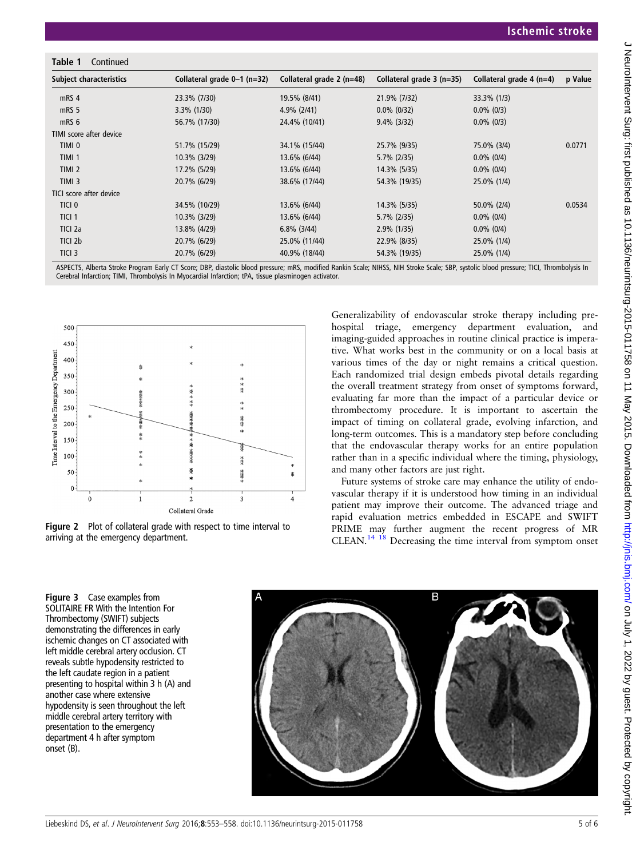| <b>Subject characteristics</b> | Collateral grade 0-1 (n=32) | Collateral grade 2 (n=48) | Collateral grade 3 (n=35) | Collateral grade $4$ (n=4) | p Value |
|--------------------------------|-----------------------------|---------------------------|---------------------------|----------------------------|---------|
| mRS <sub>4</sub>               | 23.3% (7/30)                | 19.5% (8/41)              | 21.9% (7/32)              | 33.3% (1/3)                |         |
| mRS 5                          | $3.3\%$ (1/30)              | $4.9\%$ (2/41)            | $0.0\%$ (0/32)            | $0.0\%$ (0/3)              |         |
| mRS <sub>6</sub>               | 56.7% (17/30)               | 24.4% (10/41)             | $9.4\%$ (3/32)            | $0.0\%$ (0/3)              |         |
| TIMI score after device        |                             |                           |                           |                            |         |
| TIMI 0                         | 51.7% (15/29)               | 34.1% (15/44)             | 25.7% (9/35)              | 75.0% (3/4)                | 0.0771  |
| TIMI <sub>1</sub>              | 10.3% (3/29)                | 13.6% (6/44)              | $5.7\%$ (2/35)            | $0.0\%$ (0/4)              |         |
| TIMI <sub>2</sub>              | 17.2% (5/29)                | 13.6% (6/44)              | 14.3% (5/35)              | $0.0\%$ (0/4)              |         |
| TIMI <sub>3</sub>              | 20.7% (6/29)                | 38.6% (17/44)             | 54.3% (19/35)             | 25.0% (1/4)                |         |
| TICI score after device        |                             |                           |                           |                            |         |
| TICI <sub>0</sub>              | 34.5% (10/29)               | 13.6% (6/44)              | 14.3% (5/35)              | 50.0% (2/4)                | 0.0534  |
| TICI 1                         | 10.3% (3/29)                | 13.6% (6/44)              | $5.7\%$ (2/35)            | $0.0\%$ (0/4)              |         |
| TICI 2a                        | 13.8% (4/29)                | $6.8\%$ (3/44)            | $2.9\%$ (1/35)            | $0.0\%$ (0/4)              |         |
| TICI 2b                        | 20.7% (6/29)                | 25.0% (11/44)             | 22.9% (8/35)              | 25.0% (1/4)                |         |
| TICI 3                         | 20.7% (6/29)                | 40.9% (18/44)             | 54.3% (19/35)             | 25.0% (1/4)                |         |

ASPECTS, Alberta Stroke Program Early CT Score; DBP, diastolic blood pressure; mRS, modified Rankin Scale; NIHSS, NIH Stroke Scale; SBP, systolic blood pressure; TICI, Thrombolysis In Cerebral Infarction; TIMI, Thrombolysis In Myocardial Infarction; tPA, tissue plasminogen activator.





Generalizability of endovascular stroke therapy including prehospital triage, emergency department evaluation, and imaging-guided approaches in routine clinical practice is imperative. What works best in the community or on a local basis at various times of the day or night remains a critical question. Each randomized trial design embeds pivotal details regarding the overall treatment strategy from onset of symptoms forward, evaluating far more than the impact of a particular device or thrombectomy procedure. It is important to ascertain the impact of timing on collateral grade, evolving infarction, and long-term outcomes. This is a mandatory step before concluding that the endovascular therapy works for an entire population rather than in a specific individual where the timing, physiology, and many other factors are just right.

Future systems of stroke care may enhance the utility of endovascular therapy if it is understood how timing in an individual patient may improve their outcome. The advanced triage and rapid evaluation metrics embedded in ESCAPE and SWIFT PRIME may further augment the recent progress of MR CLEAN.[14 18](#page-5-0) Decreasing the time interval from symptom onset

Figure 3 Case examples from SOLITAIRE FR With the Intention For Thrombectomy (SWIFT) subjects demonstrating the differences in early ischemic changes on CT associated with left middle cerebral artery occlusion. CT reveals subtle hypodensity restricted to the left caudate region in a patient presenting to hospital within 3 h (A) and another case where extensive hypodensity is seen throughout the left middle cerebral artery territory with presentation to the emergency department 4 h after symptom onset (B).

<span id="page-4-0"></span> $T_{\rm T}$  Table 1 Continued by  $\sim$